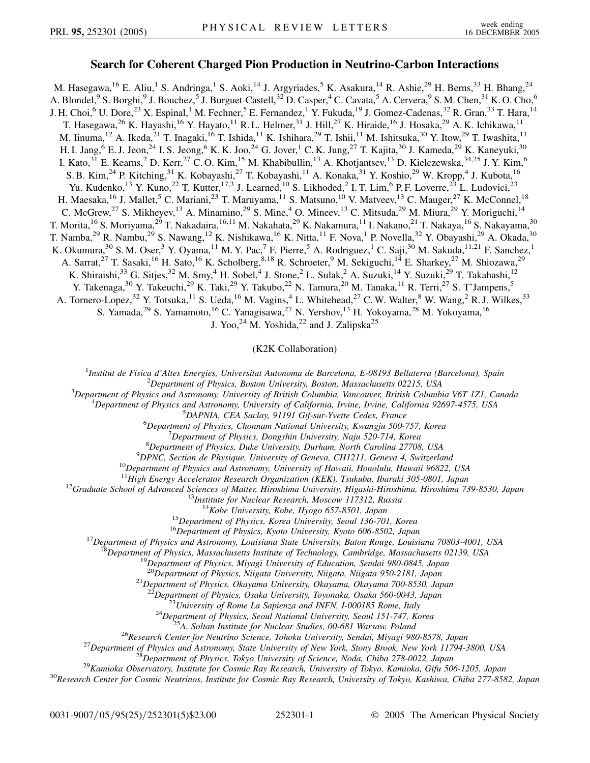## **Search for Coherent Charged Pion Production in Neutrino-Carbon Interactions**

M. Hasegawa,<sup>16</sup> E. Aliu,<sup>1</sup> S. Andringa,<sup>1</sup> S. Aoki,<sup>14</sup> J. Argyriades,<sup>5</sup> K. Asakura,<sup>14</sup> R. Ashie,<sup>29</sup> H. Berns,<sup>33</sup> H. Bhang,<sup>24</sup> A. Blondel, <sup>9</sup> S. Borghi, <sup>9</sup> J. Bouchez, <sup>5</sup> J. Burguet-Castell, <sup>32</sup> D. Casper, <sup>4</sup> C. Cavata, <sup>5</sup> A. Cervera, <sup>9</sup> S. M. Chen, <sup>31</sup> K. O. Cho, <sup>6</sup> J. H. Choi,<sup>6</sup> U. Dore,<sup>23</sup> X. Espinal,<sup>1</sup> M. Fechner,<sup>5</sup> E. Fernandez,<sup>1</sup> Y. Fukuda,<sup>19</sup> J. Gomez-Cadenas,<sup>32</sup> R. Gran,<sup>33</sup> T. Hara,<sup>14</sup> T. Hasegawa,<sup>26</sup> K. Hayashi,<sup>16</sup> Y. Hayato,<sup>11</sup> R. L. Helmer,<sup>31</sup> J. Hill,<sup>27</sup> K. Hiraide,<sup>16</sup> J. Hosaka,<sup>29</sup> A. K. Ichikawa,<sup>11</sup> M. Iinuma,  $^{12}$  A. Ikeda,  $^{21}$  T. Inagaki,  $^{16}$  T. Ishida,  $^{11}$  K. Ishihara,  $^{29}$  T. Ishii,  $^{11}$  M. Ishitsuka,  $^{30}$  Y. Itow,  $^{29}$  T. Iwashita,  $^{11}$ H. I. Jang,  $^6$  E. J. Jeon,  $^{24}$  I. S. Jeong,  $^6$  K. K. Joo,  $^{24}$  G. Jover,  $^1$  C. K. Jung,  $^{27}$  T. Kajita,  $^{30}$  J. Kameda,  $^{29}$  K. Kaneyuki,  $^{30}$ I. Kato,<sup>31</sup> E. Kearns,<sup>2</sup> D. Kerr,<sup>27</sup> C.O. Kim,<sup>15</sup> M. Khabibullin,<sup>13</sup> A. Khotjantsev,<sup>13</sup> D. Kielczewska,<sup>34,25</sup> J. Y. Kim,<sup>6</sup> S. B. Kim,<sup>24</sup> P. Kitching,<sup>31</sup> K. Kobayashi,<sup>27</sup> T. Kobayashi,<sup>11</sup> A. Konaka,<sup>31</sup> Y. Koshio,<sup>29</sup> W. Kropp,<sup>4</sup> J. Kubota,<sup>16</sup> Yu. Kudenko,<sup>13</sup> Y. Kuno,<sup>22</sup> T. Kutter,<sup>17,3</sup> J. Learned,<sup>10</sup> S. Likhoded,<sup>2</sup> I. T. Lim,<sup>6</sup> P. F. Loverre,<sup>23</sup> L. Ludovici,<sup>23</sup> H. Maesaka,<sup>16</sup> J. Mallet,<sup>5</sup> C. Mariani,<sup>23</sup> T. Maruyama,<sup>11</sup> S. Matsuno,<sup>10</sup> V. Matveev,<sup>13</sup> C. Mauger,<sup>27</sup> K. McConnel,<sup>18</sup> C. McGrew,  $2^7$  S. Mikheyev,  $13$  A. Minamino,  $2^9$  S. Mine,  $4^4$  O. Mineev,  $1^3$  C. Mitsuda,  $2^9$  M. Miura,  $2^9$  Y. Moriguchi,  $1^4$ T. Morita,<sup>16</sup> S. Moriyama,<sup>29</sup> T. Nakadaira,<sup>16,11</sup> M. Nakahata,<sup>29</sup> K. Nakamura,<sup>11</sup> I. Nakano,<sup>21</sup> T. Nakaya,<sup>16</sup> S. Nakayama,<sup>30</sup> T. Namba,<sup>29</sup> R. Nambu,<sup>29</sup> S. Nawang,<sup>12</sup> K. Nishikawa,<sup>16</sup> K. Nitta,<sup>11</sup> F. Nova,<sup>1</sup> P. Novella,<sup>32</sup> Y. Obayashi,<sup>29</sup> A. Okada,<sup>30</sup> K. Okumura,<sup>30</sup> S. M. Oser,<sup>3</sup> Y. Oyama,<sup>11</sup> M. Y. Pac,<sup>7</sup> F. Pierre,<sup>5</sup> A. Rodriguez,<sup>1</sup> C. Saji,<sup>30</sup> M. Sakuda,<sup>11,21</sup> F. Sanchez,<sup>1</sup> A. Sarrat,<sup>27</sup> T. Sasaki,<sup>16</sup> H. Sato,<sup>16</sup> K. Scholberg,<sup>8,18</sup> R. Schroeter,<sup>9</sup> M. Sekiguchi,<sup>14</sup> E. Sharkey,<sup>27</sup> M. Shiozawa,<sup>29</sup> K. Shiraishi,<sup>33</sup> G. Sitjes,<sup>32</sup> M. Smy,<sup>4</sup> H. Sobel,<sup>4</sup> J. Stone,<sup>2</sup> L. Sulak,<sup>2</sup> A. Suzuki,<sup>14</sup> Y. Suzuki,<sup>29</sup> T. Takahashi,<sup>12</sup> Y. Takenaga,<sup>30</sup> Y. Takeuchi,<sup>29</sup> K. Taki,<sup>29</sup> Y. Takubo,<sup>22</sup> N. Tamura,<sup>20</sup> M. Tanaka,<sup>11</sup> R. Terri,<sup>27</sup> S. T'Jampens,<sup>5</sup> A. Tornero-Lopez,<sup>32</sup> Y. Totsuka,<sup>11</sup> S. Ueda,<sup>16</sup> M. Vagins,<sup>4</sup> L. Whitehead,<sup>27</sup> C. W. Walter,<sup>8</sup> W. Wang,<sup>2</sup> R. J. Wilkes,<sup>33</sup> S. Yamada,<sup>29</sup> S. Yamamoto,<sup>16</sup> C. Yanagisawa,<sup>27</sup> N. Yershov,<sup>13</sup> H. Yokoyama,<sup>28</sup> M. Yokoyama,<sup>16</sup>

J. Yoo,  $^{24}$  M. Yoshida,  $^{22}$  and J. Zalipska<sup>25</sup>

(K2K Collaboration)

<sup>1</sup>Institut de Fisica d'Altes Energies, Universitat Autonoma de Barcelona, E-08193 Bellaterra (Barcelona), Spain<br><sup>2</sup>Department of Physics, Poston University, Poston Massachusette 02215, USA

*Department of Physics, Boston University, Boston, Massachusetts 02215, USA* <sup>3</sup>

*Department of Physics and Astronomy, University of British Columbia, Vancouver, British Columbia V6T 1Z1, Canada* <sup>4</sup>

<sup>4</sup>Department of Physics and Astronomy, University of California, Irvine, Irvine, California 92697-4575, USA

*DAPNIA, CEA Saclay, 91191 Gif-sur-Yvette Cedex, France* <sup>6</sup>

*Department of Physics, Chonnam National University, Kwangju 500-757, Korea* <sup>7</sup>

*Department of Physics, Dongshin University, Naju 520-714, Korea* 8<br><sup>8</sup> Department of Physics, Duke University, Durham, North Carolina 27708

<sup>8</sup> Department of Physics, Duke University, Durham, North Carolina 27708, USA<br><sup>9</sup> DPNC, Section de Physique, University of Geneva, CH1211, Geneva A, Switzerla

<sup>9</sup> DPNC, Section de Physique, University of Geneva, CH1211, Geneva 4, Switzerland<br><sup>10</sup>Department of Physics and Astronomy, University of Hawaii, Honolulu, Hawaii 96822, USA<br><sup>11</sup>High Energy Accelerator Research Organizatio

<sup>12</sup>Graduate School of Advanced Sciences of Matter, Hiroshima University, Higashi-Hiroshima, Hiroshima 739-8530, Japan<br><sup>13</sup>Institute for Nuclear Research, Moscow 117312, Russia<br><sup>14</sup>Kobe University, Kobe, Hyogo 657-8501, J

<sup>21</sup>Department of Physics, Okayama University, Okayama, Okayama 700-8530, Japan<br><sup>22</sup>Department of Physics, Osaka University, Toyonaka, Osaka 560-0043, Japan

<sup>23</sup>University of Rome La Sapienza and INFN, 1-000185 Rome, Italy<br><sup>24</sup>Department of Physics, Seoul National University, Seoul 151-747, Korea<br><sup>25</sup>A. Soltan Institute for Nuclear Studies, 00-681 Warsaw, Poland<br><sup>26</sup>Research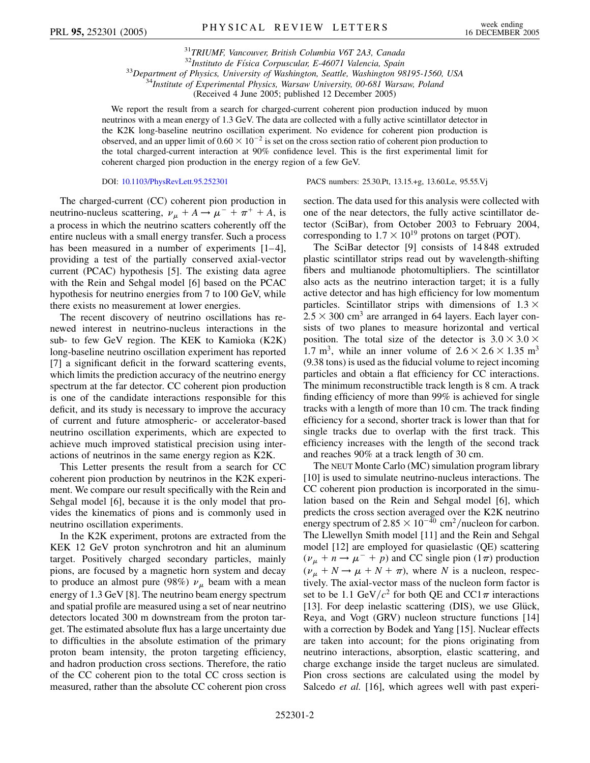<sup>31</sup>*TRIUMF, Vancouver, British Columbia V6T 2A3, Canada*  $^{33}$ Department of Physics, University of Washington, Seattle, Washington 98195-1560, USA<br> $^{34}$ Institute of Experimental Physics, Warsaw University, 00-681 Warsaw, Poland

(Received 4 June 2005; published 12 December 2005)

We report the result from a search for charged-current coherent pion production induced by muon neutrinos with a mean energy of 1.3 GeV. The data are collected with a fully active scintillator detector in the K2K long-baseline neutrino oscillation experiment. No evidence for coherent pion production is observed, and an upper limit of  $0.60 \times 10^{-2}$  is set on the cross section ratio of coherent pion production to the total charged-current interaction at 90% confidence level. This is the first experimental limit for coherent charged pion production in the energy region of a few GeV.

DOI: [10.1103/PhysRevLett.95.252301](http://dx.doi.org/10.1103/PhysRevLett.95.252301) PACS numbers: 25.30.Pt, 13.15.+g, 13.60.Le, 95.55.Vj

The charged-current (CC) coherent pion production in neutrino-nucleus scattering,  $\nu_{\mu} + A \rightarrow \mu^{-} + \pi^{+} + A$ , is a process in which the neutrino scatters coherently off the entire nucleus with a small energy transfer. Such a process has been measured in a number of experiments  $[1-4]$ , providing a test of the partially conserved axial-vector current (PCAC) hypothesis [5]. The existing data agree with the Rein and Sehgal model [6] based on the PCAC hypothesis for neutrino energies from 7 to 100 GeV, while there exists no measurement at lower energies.

The recent discovery of neutrino oscillations has renewed interest in neutrino-nucleus interactions in the sub- to few GeV region. The KEK to Kamioka (K2K) long-baseline neutrino oscillation experiment has reported [7] a significant deficit in the forward scattering events, which limits the prediction accuracy of the neutrino energy spectrum at the far detector. CC coherent pion production is one of the candidate interactions responsible for this deficit, and its study is necessary to improve the accuracy of current and future atmospheric- or accelerator-based neutrino oscillation experiments, which are expected to achieve much improved statistical precision using interactions of neutrinos in the same energy region as K2K.

This Letter presents the result from a search for CC coherent pion production by neutrinos in the K2K experiment. We compare our result specifically with the Rein and Sehgal model [6], because it is the only model that provides the kinematics of pions and is commonly used in neutrino oscillation experiments.

In the K2K experiment, protons are extracted from the KEK 12 GeV proton synchrotron and hit an aluminum target. Positively charged secondary particles, mainly pions, are focused by a magnetic horn system and decay to produce an almost pure (98%)  $\nu_{\mu}$  beam with a mean energy of 1.3 GeV [8]. The neutrino beam energy spectrum and spatial profile are measured using a set of near neutrino detectors located 300 m downstream from the proton target. The estimated absolute flux has a large uncertainty due to difficulties in the absolute estimation of the primary proton beam intensity, the proton targeting efficiency, and hadron production cross sections. Therefore, the ratio of the CC coherent pion to the total CC cross section is measured, rather than the absolute CC coherent pion cross section. The data used for this analysis were collected with one of the near detectors, the fully active scintillator detector (SciBar), from October 2003 to February 2004, corresponding to  $1.7 \times 10^{19}$  protons on target (POT).

The SciBar detector [9] consists of 14 848 extruded plastic scintillator strips read out by wavelength-shifting fibers and multianode photomultipliers. The scintillator also acts as the neutrino interaction target; it is a fully active detector and has high efficiency for low momentum particles. Scintillator strips with dimensions of  $1.3 \times$  $2.5 \times 300$  cm<sup>3</sup> are arranged in 64 layers. Each layer consists of two planes to measure horizontal and vertical position. The total size of the detector is  $3.0 \times 3.0 \times$ 1.7 m<sup>3</sup>, while an inner volume of  $2.6 \times 2.6 \times 1.35$  m<sup>3</sup> (9.38 tons) is used as the fiducial volume to reject incoming particles and obtain a flat efficiency for CC interactions. The minimum reconstructible track length is 8 cm. A track finding efficiency of more than 99% is achieved for single tracks with a length of more than 10 cm. The track finding efficiency for a second, shorter track is lower than that for single tracks due to overlap with the first track. This efficiency increases with the length of the second track and reaches 90% at a track length of 30 cm.

The NEUT Monte Carlo (MC) simulation program library [10] is used to simulate neutrino-nucleus interactions. The CC coherent pion production is incorporated in the simulation based on the Rein and Sehgal model [6], which predicts the cross section averaged over the K2K neutrino energy spectrum of  $2.85 \times 10^{-40}$  cm<sup>2</sup>/nucleon for carbon. The Llewellyn Smith model [11] and the Rein and Sehgal model [12] are employed for quasielastic (QE) scattering  $(\nu_{\mu} + n \rightarrow \mu^{-} + p)$  and CC single pion (1 $\pi$ ) production  $(\nu_{\mu} + N \rightarrow \mu + N + \pi)$ , where *N* is a nucleon, respectively. The axial-vector mass of the nucleon form factor is set to be 1.1 GeV/ $c^2$  for both OE and CC1 $\pi$  interactions [13]. For deep inelastic scattering (DIS), we use Glück, Reya, and Vogt (GRV) nucleon structure functions [14] with a correction by Bodek and Yang [15]. Nuclear effects are taken into account; for the pions originating from neutrino interactions, absorption, elastic scattering, and charge exchange inside the target nucleus are simulated. Pion cross sections are calculated using the model by Salcedo *et al.* [16], which agrees well with past experi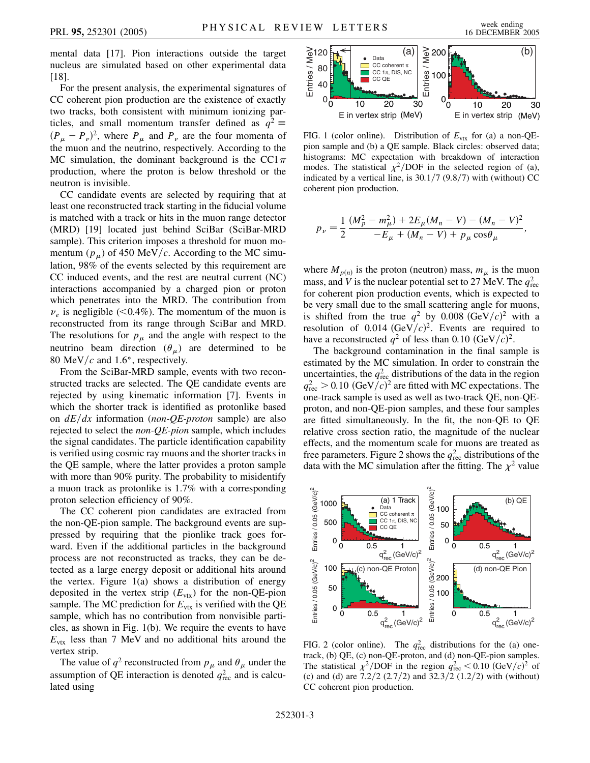mental data [17]. Pion interactions outside the target nucleus are simulated based on other experimental data [18].

For the present analysis, the experimental signatures of CC coherent pion production are the existence of exactly two tracks, both consistent with minimum ionizing particles, and small momentum transfer defined as  $q^2 \equiv$  $(P_\mu - P_\nu)^2$ , where  $P_\mu$  and  $P_\nu$  are the four momenta of the muon and the neutrino, respectively. According to the MC simulation, the dominant background is the CC1 $\pi$ production, where the proton is below threshold or the neutron is invisible.

CC candidate events are selected by requiring that at least one reconstructed track starting in the fiducial volume is matched with a track or hits in the muon range detector (MRD) [19] located just behind SciBar (SciBar-MRD sample). This criterion imposes a threshold for muon momentum  $(p_\mu)$  of 450 MeV/*c*. According to the MC simulation, 98% of the events selected by this requirement are CC induced events, and the rest are neutral current (NC) interactions accompanied by a charged pion or proton which penetrates into the MRD. The contribution from  $\nu_e$  is negligible (<0.4%). The momentum of the muon is reconstructed from its range through SciBar and MRD. The resolutions for  $p_{\mu}$  and the angle with respect to the neutrino beam direction  $(\theta_{\mu})$  are determined to be 80 MeV/ $c$  and 1.6°, respectively.

From the SciBar-MRD sample, events with two reconstructed tracks are selected. The QE candidate events are rejected by using kinematic information [7]. Events in which the shorter track is identified as protonlike based on  $dE/dx$  information (*non-QE-proton* sample) are also rejected to select the *non-QE-pion* sample, which includes the signal candidates. The particle identification capability is verified using cosmic ray muons and the shorter tracks in the QE sample, where the latter provides a proton sample with more than 90% purity. The probability to misidentify a muon track as protonlike is 1.7% with a corresponding proton selection efficiency of 90%.

The CC coherent pion candidates are extracted from the non-QE-pion sample. The background events are suppressed by requiring that the pionlike track goes forward. Even if the additional particles in the background process are not reconstructed as tracks, they can be detected as a large energy deposit or additional hits around the vertex. Figure  $1(a)$  shows a distribution of energy deposited in the vertex strip  $(E_{\text{vtx}})$  for the non-QE-pion sample. The MC prediction for  $E_{\text{vtx}}$  is verified with the QE sample, which has no contribution from nonvisible particles, as shown in Fig. 1(b). We require the events to have  $E_{\text{vtx}}$  less than 7 MeV and no additional hits around the vertex strip.

The value of  $q^2$  reconstructed from  $p_\mu$  and  $\theta_\mu$  under the assumption of QE interaction is denoted  $q_{\text{rec}}^2$  and is calculated using



FIG. 1 (color online). Distribution of  $E_{\text{vtx}}$  for (a) a non-QEpion sample and (b) a QE sample. Black circles: observed data; histograms: MC expectation with breakdown of interaction modes. The statistical  $\chi^2$ /DOF in the selected region of (a), indicated by a vertical line, is 30.1/7 (9.8/7) with (without) CC coherent pion production.

$$
p_{\nu} = \frac{1}{2} \frac{(M_p^2 - m_{\mu}^2) + 2E_{\mu}(M_n - V) - (M_n - V)^2}{-E_{\mu} + (M_n - V) + p_{\mu} \cos \theta_{\mu}},
$$

where  $M_{p(n)}$  is the proton (neutron) mass,  $m_{\mu}$  is the muon mass, and *V* is the nuclear potential set to 27 MeV. The  $q_{\text{rec}}^2$ for coherent pion production events, which is expected to be very small due to the small scattering angle for muons, is shifted from the true  $q^2$  by 0.008 (GeV/ $c$ )<sup>2</sup> with a resolution of  $0.014 \text{ (GeV/}c)^2$ . Events are required to have a reconstructed  $q^2$  of less than 0.10 (GeV/ $c$ )<sup>2</sup>.

The background contamination in the final sample is estimated by the MC simulation. In order to constrain the uncertainties, the  $q_{\text{rec}}^2$  distributions of the data in the region  $q_{\text{rec}}^2$  > 0.10 (GeV/c)<sup>2</sup> are fitted with MC expectations. The one-track sample is used as well as two-track QE, non-QEproton, and non-QE-pion samples, and these four samples are fitted simultaneously. In the fit, the non-QE to QE relative cross section ratio, the magnitude of the nuclear effects, and the momentum scale for muons are treated as free parameters. Figure 2 shows the  $q_{\text{rec}}^2$  distributions of the data with the MC simulation after the fitting. The  $\chi^2$  value



FIG. 2 (color online). The  $q_{\text{rec}}^2$  distributions for the (a) onetrack, (b) QE, (c) non-QE-proton, and (d) non-QE-pion samples. The statistical  $\chi^2 / DOF$  in the region  $q_{\text{rec}}^2 < 0.10 \text{ (GeV/}c)^2$  of (c) and (d) are  $7.2/2$   $(2.7/2)$  and  $32.3/2$   $(1.2/2)$  with (without) CC coherent pion production.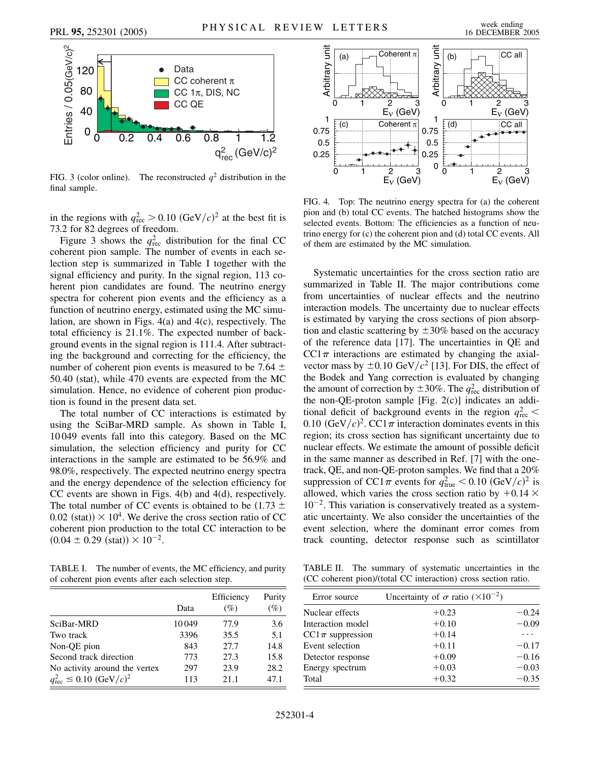

FIG. 3 (color online). The reconstructed  $q^2$  distribution in the final sample.

in the regions with  $q_{\text{rec}}^2 > 0.10 \text{ (GeV/}c)^2$  at the best fit is 73.2 for 82 degrees of freedom.

Figure 3 shows the  $q_{\text{rec}}^2$  distribution for the final CC coherent pion sample. The number of events in each selection step is summarized in Table I together with the signal efficiency and purity. In the signal region, 113 coherent pion candidates are found. The neutrino energy spectra for coherent pion events and the efficiency as a function of neutrino energy, estimated using the MC simulation, are shown in Figs. 4(a) and 4(c), respectively. The total efficiency is 21.1%. The expected number of background events in the signal region is 111.4. After subtracting the background and correcting for the efficiency, the number of coherent pion events is measured to be 7.64  $\pm$ 50.40 (stat), while 470 events are expected from the MC simulation. Hence, no evidence of coherent pion production is found in the present data set.

The total number of CC interactions is estimated by using the SciBar-MRD sample. As shown in Table I, 10 049 events fall into this category. Based on the MC simulation, the selection efficiency and purity for CC interactions in the sample are estimated to be 56.9% and 98.0%, respectively. The expected neutrino energy spectra and the energy dependence of the selection efficiency for CC events are shown in Figs. 4(b) and 4(d), respectively. The total number of CC events is obtained to be  $(1.73 \pm 1)$  $0.02$  (stat))  $\times$  10<sup>4</sup>. We derive the cross section ratio of CC coherent pion production to the total CC interaction to be  $(0.04 \pm 0.29 \text{ (stat)}) \times 10^{-2}$ .

TABLE I. The number of events, the MC efficiency, and purity of coherent pion events after each selection step.

|                                                | Data  | Efficiency<br>$(\%)$ | Purity<br>(%) |
|------------------------------------------------|-------|----------------------|---------------|
| SciBar-MRD                                     | 10049 |                      |               |
|                                                |       | 77.9                 | 3.6           |
| Two track                                      | 3396  | 35.5                 | 5.1           |
| Non-QE pion                                    | 843   | 27.7                 | 14.8          |
| Second track direction                         | 773   | 27.3                 | 15.8          |
| No activity around the vertex                  | 297   | 23.9                 | 28.2          |
| $q_{\text{rec}}^2 \le 0.10 \ (\text{GeV}/c)^2$ | 113   | 21.1                 | 47.1          |



FIG. 4. Top: The neutrino energy spectra for (a) the coherent pion and (b) total CC events. The hatched histograms show the selected events. Bottom: The efficiencies as a function of neutrino energy for (c) the coherent pion and (d) total CC events. All of them are estimated by the MC simulation.

Systematic uncertainties for the cross section ratio are summarized in Table II. The major contributions come from uncertainties of nuclear effects and the neutrino interaction models. The uncertainty due to nuclear effects is estimated by varying the cross sections of pion absorption and elastic scattering by  $\pm 30\%$  based on the accuracy of the reference data [17]. The uncertainties in QE and  $CC1\pi$  interactions are estimated by changing the axialvector mass by  $\pm 0.10 \text{ GeV}/c^2$  [13]. For DIS, the effect of the Bodek and Yang correction is evaluated by changing the amount of correction by  $\pm 30\%$ . The  $q_{\text{rec}}^2$  distribution of the non-QE-proton sample [Fig. 2(c)] indicates an additional deficit of background events in the region  $q_{\text{rec}}^2$  < 0.10  $(GeV/c)^2$ . CC1 $\pi$  interaction dominates events in this region; its cross section has significant uncertainty due to nuclear effects. We estimate the amount of possible deficit in the same manner as described in Ref. [7] with the onetrack, QE, and non-QE-proton samples. We find that a 20% suppression of  $CC1\pi$  events for  $q_{\text{true}}^2 < 0.10 \text{ (GeV/}c)^2$  is allowed, which varies the cross section ratio by  $+0.14 \times$  $10^{-2}$ . This variation is conservatively treated as a systematic uncertainty. We also consider the uncertainties of the event selection, where the dominant error comes from track counting, detector response such as scintillator

TABLE II. The summary of systematic uncertainties in the (CC coherent pion)/(total CC interaction) cross section ratio.

| Error source          | Uncertainty of $\sigma$ ratio ( $\times 10^{-2}$ ) |         |
|-----------------------|----------------------------------------------------|---------|
| Nuclear effects       | $+0.23$                                            | $-0.24$ |
| Interaction model     | $+0.10$                                            | $-0.09$ |
| CC1 $\pi$ suppression | $+0.14$                                            | .       |
| Event selection       | $+0.11$                                            | $-0.17$ |
| Detector response     | $+0.09$                                            | $-0.16$ |
| Energy spectrum       | $+0.03$                                            | $-0.03$ |
| Total                 | $+0.32$                                            | $-0.35$ |